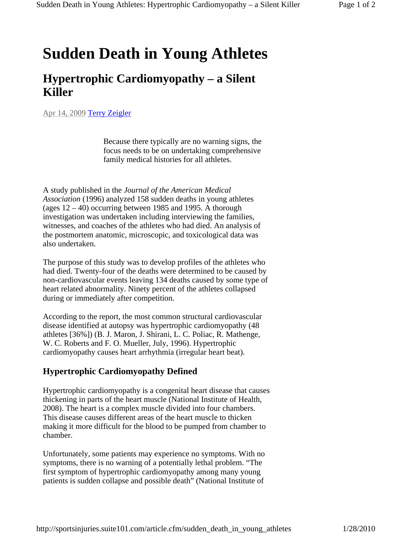## **Sudden Death in Young Athletes**

## **Hypertrophic Cardiomyopathy – a Silent Killer**

Apr 14, 2009 Terry Zeigler

Because there typically are no warning signs, the focus needs to be on undertaking comprehensive family medical histories for all athletes.

A study published in the *Journal of the American Medical Association* (1996) analyzed 158 sudden deaths in young athletes (ages 12 – 40) occurring between 1985 and 1995. A thorough investigation was undertaken including interviewing the families, witnesses, and coaches of the athletes who had died. An analysis of the postmortem anatomic, microscopic, and toxicological data was also undertaken.

The purpose of this study was to develop profiles of the athletes who had died. Twenty-four of the deaths were determined to be caused by non-cardiovascular events leaving 134 deaths caused by some type of heart related abnormality. Ninety percent of the athletes collapsed during or immediately after competition.

According to the report, the most common structural cardiovascular disease identified at autopsy was hypertrophic cardiomyopathy (48 athletes [36%]) (B. J. Maron, J. Shirani, L. C. Poliac, R. Mathenge, W. C. Roberts and F. O. Mueller, July, 1996). Hypertrophic cardiomyopathy causes heart arrhythmia (irregular heart beat).

## **Hypertrophic Cardiomyopathy Defined**

Hypertrophic cardiomyopathy is a congenital heart disease that causes thickening in parts of the heart muscle (National Institute of Health, 2008). The heart is a complex muscle divided into four chambers. This disease causes different areas of the heart muscle to thicken making it more difficult for the blood to be pumped from chamber to chamber.

Unfortunately, some patients may experience no symptoms. With no symptoms, there is no warning of a potentially lethal problem. "The first symptom of hypertrophic cardiomyopathy among many young patients is sudden collapse and possible death" (National Institute of